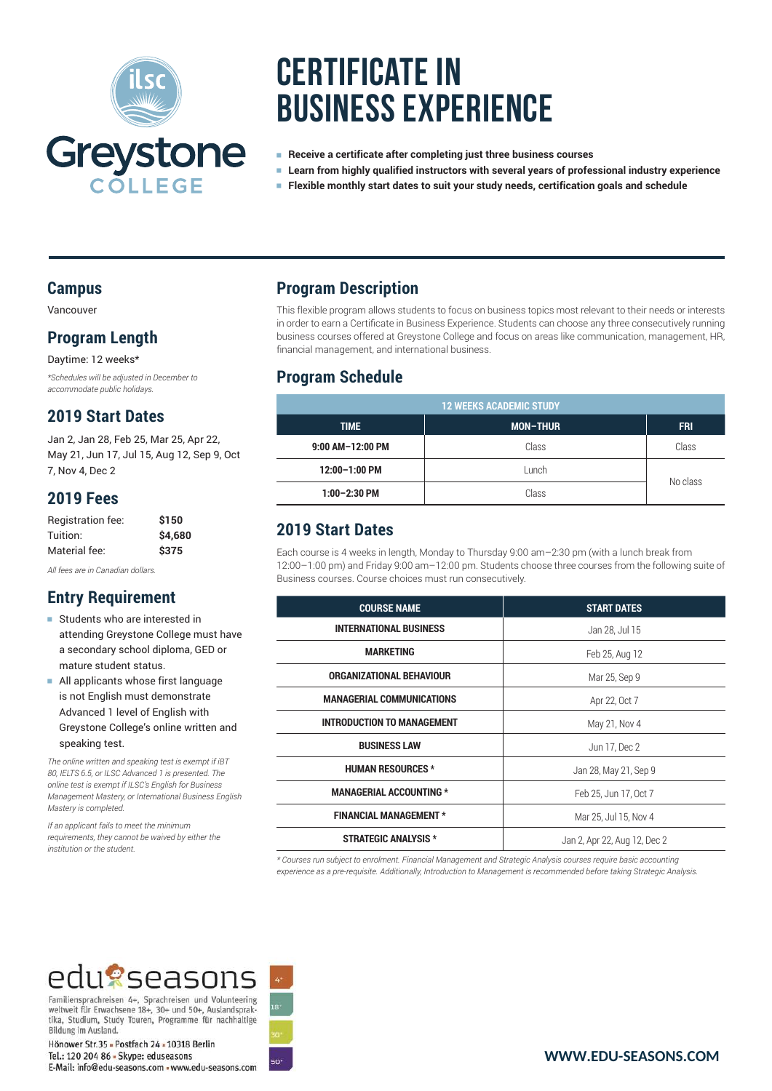

# **Certificate in Business Experience**

- <sup>e</sup> **Receive a certificate after completing just three business courses**
- <sup>e</sup> **Learn from highly qualified instructors with several years of professional industry experience**
- <sup>e</sup> **Flexible monthly start dates to suit your study needs, certification goals and schedule**

#### **Campus**

Vancouver

#### **Program Length**

Daytime: 12 weeks\* *\*Schedules will be adjusted in December to accommodate public holidays.*

#### **2019 Start Dates**

Jan 2, Jan 28, Feb 25, Mar 25, Apr 22, May 21, Jun 17, Jul 15, Aug 12, Sep 9, Oct 7, Nov 4, Dec 2

#### **2019 Fees**

| Registration fee: | \$150   |
|-------------------|---------|
| Tuition:          | \$4,680 |
| Material fee:     | \$375   |

*All fees are in Canadian dollars.*

#### **Entry Requirement**

- **Example 15 Students who are interested in** attending Greystone College must have a secondary school diploma, GED or mature student status.
- <sup>e</sup> All applicants whose first language is not English must demonstrate Advanced 1 level of English with Greystone College's online written and speaking test.

*The online written and speaking test is exempt if iBT 80, IELTS 6.5, or ILSC Advanced 1 is presented. The online test is exempt if ILSC's English for Business Management Mastery, or International Business English Mastery is completed.*

*If an applicant fails to meet the minimum requirements, they cannot be waived by either the institution or the student.*

#### **Program Description**

This flexible program allows students to focus on business topics most relevant to their needs or interests in order to earn a Certificate in Business Experience. Students can choose any three consecutively running business courses offered at Greystone College and focus on areas like communication, management, HR, financial management, and international business.

#### **Program Schedule**

| <b>12 WEEKS ACADEMIC STUDY</b> |                 |            |
|--------------------------------|-----------------|------------|
| <b>TIME</b>                    | <b>MON-THUR</b> | <b>FRI</b> |
| 9:00 AM-12:00 PM               | Class           | Class      |
| 12:00-1:00 PM                  | Lunch           | No class   |
| $1:00-2:30$ PM                 | Class           |            |

### **2019 Start Dates**

Each course is 4 weeks in length, Monday to Thursday 9:00 am–2:30 pm (with a lunch break from 12:00–1:00 pm) and Friday 9:00 am–12:00 pm. Students choose three courses from the following suite of Business courses. Course choices must run consecutively.

| <b>COURSE NAME</b>                | <b>START DATES</b>           |
|-----------------------------------|------------------------------|
| <b>INTERNATIONAL BUSINESS</b>     | Jan 28, Jul 15               |
| <b>MARKETING</b>                  | Feb 25, Aug 12               |
| ORGANIZATIONAL BEHAVIOUR          | Mar 25, Sep 9                |
| <b>MANAGERIAL COMMUNICATIONS</b>  | Apr 22, Oct 7                |
| <b>INTRODUCTION TO MANAGEMENT</b> | May 21, Nov 4                |
| <b>BUSINESS LAW</b>               | Jun 17, Dec 2                |
| <b>HUMAN RESOURCES *</b>          | Jan 28, May 21, Sep 9        |
| <b>MANAGERIAL ACCOUNTING *</b>    | Feb 25, Jun 17, Oct 7        |
| <b>FINANCIAL MANAGEMENT *</b>     | Mar 25, Jul 15, Nov 4        |
| <b>STRATEGIC ANALYSIS *</b>       | Jan 2, Apr 22, Aug 12, Dec 2 |

*\* Courses run subject to enrolment. Financial Management and Strategic Analysis courses require basic accounting experience as a pre-requisite. Additionally, Introduction to Management is recommended before taking Strategic Analysis.*

## edu?seasons

Familiensprachreisen 4+, Sprachreisen und Volunteering veltweit für Erwachsene 18+, 30+ und 50+, Auslandsprak-<br>tika, Studium, Study Touren, Programme für nachhaltige Bildung im Ausland.

Hönower Str.35 - Postfach 24 - 10318 Berlin Tel.: 120 204 86 - Skype: eduseasons F-Mail: info@edu-seasons.com . www.edu-seasons.com

**WWW.EDU-SEASONS.COM**